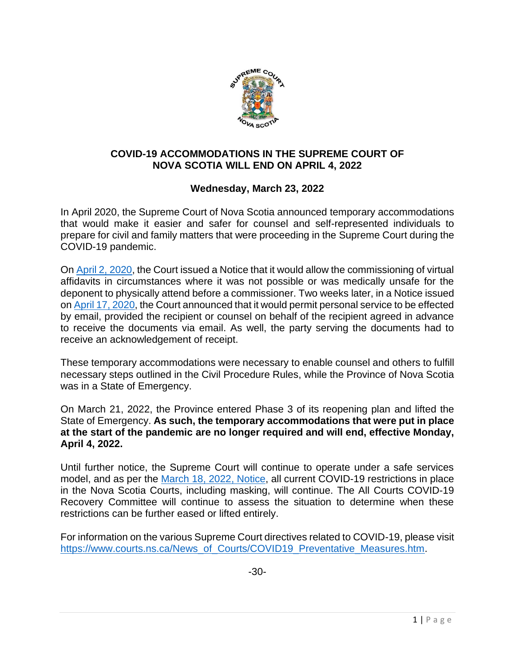

## **COVID-19 ACCOMMODATIONS IN THE SUPREME COURT OF NOVA SCOTIA WILL END ON APRIL 4, 2022**

## **Wednesday, March 23, 2022**

In April 2020, the Supreme Court of Nova Scotia announced temporary accommodations that would make it easier and safer for counsel and self-represented individuals to prepare for civil and family matters that were proceeding in the Supreme Court during the COVID-19 pandemic.

O[n April 2, 2020,](https://www.courts.ns.ca/News_of_Courts/documents/NSSC_Virtual_Affidavits_NR_04_02_20.pdf) the Court issued a Notice that it would allow the commissioning of virtual affidavits in circumstances where it was not possible or was medically unsafe for the deponent to physically attend before a commissioner. Two weeks later, in a Notice issued on [April 17, 2020,](https://www.courts.ns.ca/News_of_Courts/documents/NSSC_Personal_Service_by_Email_04_17_20.pdf) the Court announced that it would permit personal service to be effected by email, provided the recipient or counsel on behalf of the recipient agreed in advance to receive the documents via email. As well, the party serving the documents had to receive an acknowledgement of receipt.

These temporary accommodations were necessary to enable counsel and others to fulfill necessary steps outlined in the Civil Procedure Rules, while the Province of Nova Scotia was in a State of Emergency.

On March 21, 2022, the Province entered Phase 3 of its reopening plan and lifted the State of Emergency. **As such, the temporary accommodations that were put in place at the start of the pandemic are no longer required and will end, effective Monday, April 4, 2022.** 

Until further notice, the Supreme Court will continue to operate under a safe services model, and as per the [March 18, 2022, Notice,](https://www.courts.ns.ca/News_of_Courts/documents/Courts_COVID19_Restrictions_Maintained_03_18_22.pdf) all current COVID-19 restrictions in place in the Nova Scotia Courts, including masking, will continue. The All Courts COVID-19 Recovery Committee will continue to assess the situation to determine when these restrictions can be further eased or lifted entirely.

For information on the various Supreme Court directives related to COVID-19, please visit [https://www.courts.ns.ca/News\\_of\\_Courts/COVID19\\_Preventative\\_Measures.htm.](https://www.courts.ns.ca/News_of_Courts/COVID19_Preventative_Measures.htm)

-30-